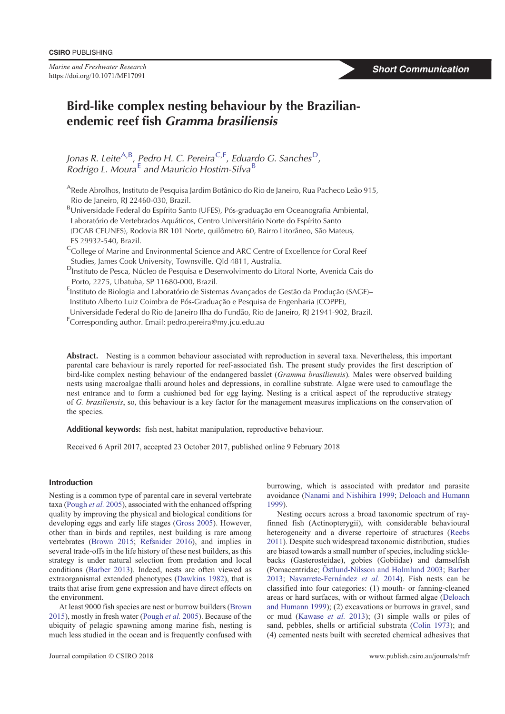*Marine and Freshwater Research* https://doi.org/10.1071/MF17091

# **Bird-like complex nesting behaviour by the Brazilianendemic reef fish** *Gramma brasiliensis*

Jonas R. Leite<sup>A,B</sup>, Pedro H. C. Pereira<sup>C,F</sup>, Eduardo G. Sanches<sup>D</sup>, *Rodrigo L. Moura*<sup>E</sup> *and Mauricio Hostim-Silva*<sup>B</sup>

<sup>A</sup>Rede Abrolhos, Instituto de Pesquisa Jardim Botânico do Rio de Janeiro, Rua Pacheco Leão 915, Rio de Janeiro, RJ 22460-030, Brazil.

BUniversidade Federal do Espírito Santo (UFES), Pós-graduação em Oceanografia Ambiental, Laboratório de Vertebrados Aquáticos, Centro Universitário Norte do Espírito Santo (DCAB CEUNES), Rodovia BR 101 Norte, quilômetro 60, Bairro Litorâneo, São Mateus, ES 29932-540, Brazil.

- <sup>C</sup>College of Marine and Environmental Science and ARC Centre of Excellence for Coral Reef Studies, James Cook University, Townsville, Qld 4811, Australia.
- <sup>D</sup>Instituto de Pesca, Núcleo de Pesquisa e Desenvolvimento do Litoral Norte, Avenida Cais do Porto, 2275, Ubatuba, SP 11680-000, Brazil.

<sup>E</sup>Instituto de Biologia and Laboratório de Sistemas Avançados de Gestão da Produção (SAGE)-Instituto Alberto Luiz Coimbra de Pós-Graduação e Pesquisa de Engenharia (COPPE),

- Universidade Federal do Rio de Janeiro Ilha do Fundão, Rio de Janeiro, RJ 21941-902. Brazil.
- F Corresponding author. Email: pedro.pereira@my.jcu.edu.au

**Abstract.** Nesting is a common behaviour associated with reproduction in several taxa. Nevertheless, this important parental care behaviour is rarely reported for reef-associated fish. The present study provides the first description of bird-like complex nesting behaviour of the endangered basslet (*Gramma brasiliensis*)*.* Males were observed building nests using macroalgae thalli around holes and depressions, in coralline substrate. Algae were used to camouflage the nest entrance and to form a cushioned bed for egg laying. Nesting is a critical aspect of the reproductive strategy of *G. brasiliensis*, so, this behaviour is a key factor for the management measures implications on the conservation of the species.

**Additional keywords:** fish nest, habitat manipulation, reproductive behaviour.

Received 6 April 2017, accepted 23 October 2017, published online 9 February 2018

## **Introduction**

Nesting is a common type of parental care in several vertebrate taxa (Pough *et al.* 2005), associated with the enhanced offspring quality by improving the physical and biological conditions for developing eggs and early life stages (Gross 2005). However, other than in birds and reptiles, nest building is rare among vertebrates (Brown 2015; Refsnider 2016), and implies in several trade-offs in the life history of these nest builders, as this strategy is under natural selection from predation and local conditions (Barber 2013). Indeed, nests are often viewed as extraorganismal extended phenotypes (Dawkins 1982), that is traits that arise from gene expression and have direct effects on the environment.

At least 9000 fish species are nest or burrow builders (Brown 2015), mostly in fresh water (Pough *et al.* 2005). Because of the ubiquity of pelagic spawning among marine fish, nesting is much less studied in the ocean and is frequently confused with burrowing, which is associated with predator and parasite avoidance (Nanami and Nishihira 1999; Deloach and Humann 1999).

Nesting occurs across a broad taxonomic spectrum of rayfinned fish (Actinopterygii), with considerable behavioural heterogeneity and a diverse repertoire of structures (Reebs 2011). Despite such widespread taxonomic distribution, studies are biased towards a small number of species, including sticklebacks (Gasterosteidae), gobies (Gobiidae) and damselfish (Pomacentridae; Östlund-Nilsson and Holmlund 2003; Barber 2013; Navarrete-Fernández et al. 2014). Fish nests can be classified into four categories: (1) mouth- or fanning-cleaned areas or hard surfaces, with or without farmed algae (Deloach and Humann 1999); (2) excavations or burrows in gravel, sand or mud (Kawase *et al.* 2013); (3) simple walls or piles of sand, pebbles, shells or artificial substrata (Colin 1973); and (4) cemented nests built with secreted chemical adhesives that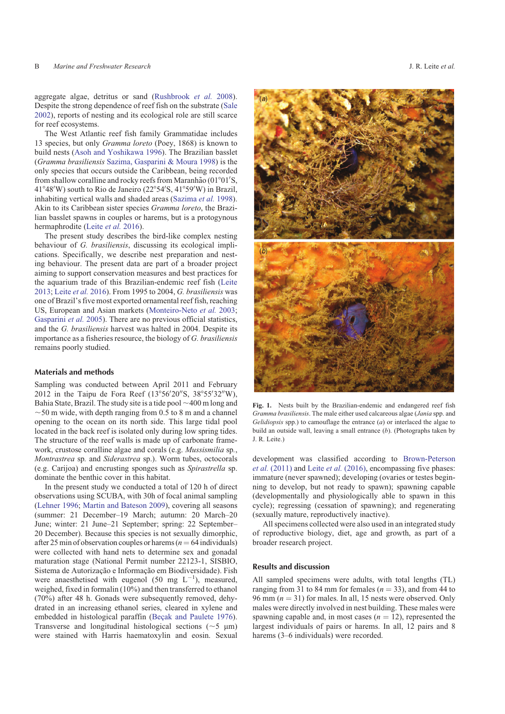aggregate algae, detritus or sand (Rushbrook *et al.* 2008). Despite the strong dependence of reef fish on the substrate (Sale 2002), reports of nesting and its ecological role are still scarce for reef ecosystems.

The West Atlantic reef fish family Grammatidae includes 13 species, but only *Gramma loreto* (Poey, 1868) is known to build nests (Asoh and Yoshikawa 1996). The Brazilian basslet (*Gramma brasiliensis* Sazima, Gasparini & Moura 1998) is the only species that occurs outside the Caribbean, being recorded from shallow coralline and rocky reefs from Maranhão (01°01′S,  $41^{\circ}48'$ W) south to Rio de Janeiro (22°54′S, 41°59′W) in Brazil, inhabiting vertical walls and shaded areas (Sazima *et al.* 1998). Akin to its Caribbean sister species *Gramma loreto*, the Brazilian basslet spawns in couples or harems, but is a protogynous hermaphrodite (Leite *et al.* 2016).

The present study describes the bird-like complex nesting behaviour of *G. brasiliensis*, discussing its ecological implications. Specifically, we describe nest preparation and nesting behaviour. The present data are part of a broader project aiming to support conservation measures and best practices for the aquarium trade of this Brazilian-endemic reef fish (Leite 2013; Leite *et al.* 2016). From 1995 to 2004, *G. brasiliensis* was one of Brazil's five most exported ornamental reef fish, reaching US, European and Asian markets (Monteiro-Neto *et al.* 2003; Gasparini *et al.* 2005). There are no previous official statistics, and the *G. brasiliensis* harvest was halted in 2004. Despite its importance as a fisheries resource, the biology of *G. brasiliensis* remains poorly studied.

## **Materials and methods**

Sampling was conducted between April 2011 and February 2012 in the Taipu de Fora Reef (13°56'20"S, 38°55'32"W), Bahia State, Brazil. The study site is a tide pool  $\sim$  400 m long and  $\sim$  50 m wide, with depth ranging from 0.5 to 8 m and a channel opening to the ocean on its north side. This large tidal pool located in the back reef is isolated only during low spring tides. The structure of the reef walls is made up of carbonate framework, crustose coralline algae and corals (e.g. *Mussismilia* sp*.*, *Montrastrea* sp*.* and *Siderastrea* sp.). Worm tubes, octocorals (e.g. Carijoa) and encrusting sponges such as *Spirastrella* sp. dominate the benthic cover in this habitat.

In the present study we conducted a total of 120 h of direct observations using SCUBA, with 30h of focal animal sampling (Lehner 1996; Martin and Bateson 2009), covering all seasons (summer: 21 December–19 March; autumn: 20 March–20 June; winter: 21 June–21 September; spring: 22 September– 20 December). Because this species is not sexually dimorphic, after 25 min of observation couples or harems ( $n = 64$  individuals) were collected with hand nets to determine sex and gonadal maturation stage (National Permit number 22123-1, SISBIO, Sistema de Autorização e Informação em Biodiversidade). Fish were anaesthetised with eugenol  $(50 \text{ mg } L^{-1})$ , measured, weighed, fixed in formalin (10%) and then transferred to ethanol (70%) after 48 h. Gonads were subsequently removed, dehydrated in an increasing ethanol series, cleared in xylene and embedded in histological paraffin (Beçak and Paulete 1976). Transverse and longitudinal histological sections ( $\sim$ 5  $\mu$ m) were stained with Harris haematoxylin and eosin. Sexual



**Fig. 1.** Nests built by the Brazilian-endemic and endangered reef fish *Gramma brasiliensis*. The male either used calcareous algae (*Jania* spp. and *Gelidiopsis* spp.) to camouflage the entrance (*a*) or interlaced the algae to build an outside wall, leaving a small entrance (*b*). (Photographs taken by J. R. Leite.)

development was classified according to Brown-Peterson *et al.* (2011) and Leite *et al.* (2016), encompassing five phases: immature (never spawned); developing (ovaries or testes beginning to develop, but not ready to spawn); spawning capable (developmentally and physiologically able to spawn in this cycle); regressing (cessation of spawning); and regenerating (sexually mature, reproductively inactive).

All specimens collected were also used in an integrated study of reproductive biology, diet, age and growth, as part of a broader research project.

#### **Results and discussion**

All sampled specimens were adults, with total lengths (TL) ranging from 31 to 84 mm for females ( $n = 33$ ), and from 44 to 96 mm  $(n = 31)$  for males. In all, 15 nests were observed. Only males were directly involved in nest building. These males were spawning capable and, in most cases  $(n = 12)$ , represented the largest individuals of pairs or harems. In all, 12 pairs and 8 harems (3–6 individuals) were recorded.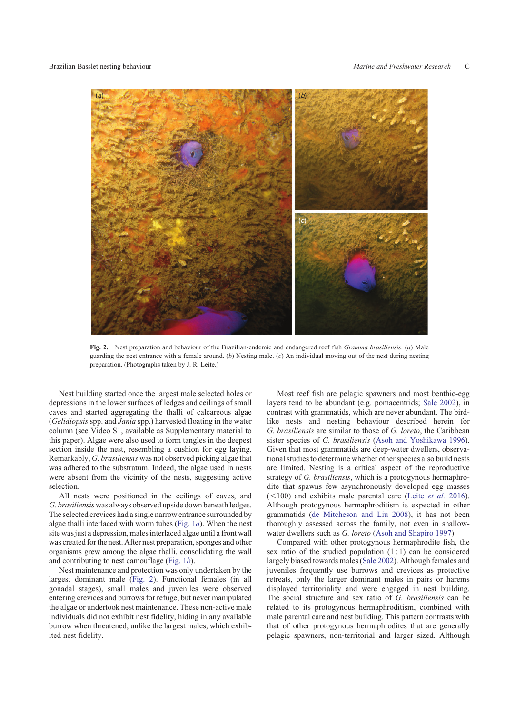

**Fig. 2.** Nest preparation and behaviour of the Brazilian-endemic and endangered reef fish *Gramma brasiliensis*. (*a*) Male guarding the nest entrance with a female around. (*b*) Nesting male. (*c*) An individual moving out of the nest during nesting preparation. (Photographs taken by J. R. Leite.)

Nest building started once the largest male selected holes or depressions in the lower surfaces of ledges and ceilings of small caves and started aggregating the thalli of calcareous algae (*Gelidiopsis* spp. and *Jania* spp.) harvested floating in the water column (see Video S1, available as Supplementary material to this paper). Algae were also used to form tangles in the deepest section inside the nest, resembling a cushion for egg laying. Remarkably, *G. brasiliensis* was not observed picking algae that was adhered to the substratum. Indeed, the algae used in nests were absent from the vicinity of the nests, suggesting active selection.

All nests were positioned in the ceilings of caves, and *G. brasiliensis*was always observed upside down beneath ledges. The selected crevices had a single narrow entrance surrounded by algae thalli interlaced with worm tubes (Fig. 1*a*). When the nest site was just a depression, males interlaced algae until a front wall was created for the nest. After nest preparation, sponges and other organisms grew among the algae thalli, consolidating the wall and contributing to nest camouflage (Fig. 1*b*).

Nest maintenance and protection was only undertaken by the largest dominant male (Fig. 2). Functional females (in all gonadal stages), small males and juveniles were observed entering crevices and burrows for refuge, but never manipulated the algae or undertook nest maintenance. These non-active male individuals did not exhibit nest fidelity, hiding in any available burrow when threatened, unlike the largest males, which exhibited nest fidelity.

Most reef fish are pelagic spawners and most benthic-egg layers tend to be abundant (e.g. pomacentrids; Sale 2002), in contrast with grammatids, which are never abundant. The birdlike nests and nesting behaviour described herein for *G. brasiliensis* are similar to those of *G. loreto*, the Caribbean sister species of *G. brasiliensis* (Asoh and Yoshikawa 1996). Given that most grammatids are deep-water dwellers, observational studies to determine whether other species also build nests are limited. Nesting is a critical aspect of the reproductive strategy of *G. brasiliensis*, which is a protogynous hermaphrodite that spawns few asynchronously developed egg masses  $(<100$ ) and exhibits male parental care (Leite *et al.* 2016). Although protogynous hermaphroditism is expected in other grammatids (de Mitcheson and Liu 2008), it has not been thoroughly assessed across the family, not even in shallowwater dwellers such as *G. loreto* (Asoh and Shapiro 1997).

Compared with other protogynous hermaphrodite fish, the sex ratio of the studied population  $(1:1)$  can be considered largely biased towards males (Sale 2002). Although females and juveniles frequently use burrows and crevices as protective retreats, only the larger dominant males in pairs or harems displayed territoriality and were engaged in nest building. The social structure and sex ratio of *G. brasiliensis* can be related to its protogynous hermaphroditism, combined with male parental care and nest building. This pattern contrasts with that of other protogynous hermaphrodites that are generally pelagic spawners, non-territorial and larger sized. Although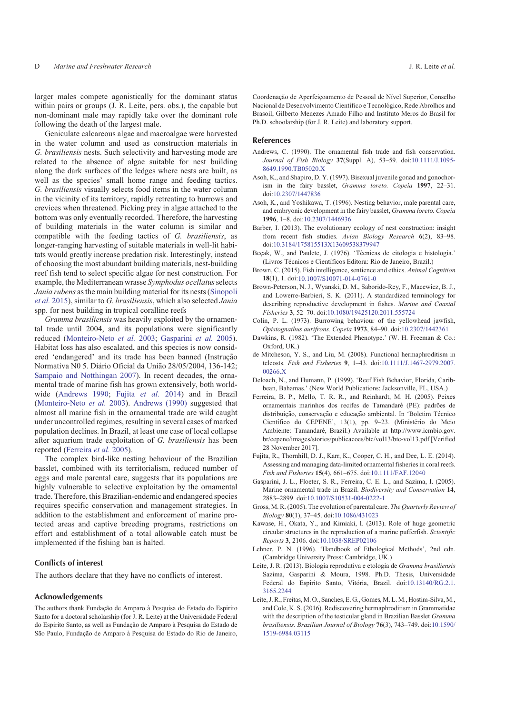larger males compete agonistically for the dominant status within pairs or groups (J. R. Leite, pers. obs.), the capable but non-dominant male may rapidly take over the dominant role following the death of the largest male.

Geniculate calcareous algae and macroalgae were harvested in the water column and used as construction materials in *G. brasiliensis* nests. Such selectivity and harvesting mode are related to the absence of algae suitable for nest building along the dark surfaces of the ledges where nests are built, as well as the species' small home range and feeding tactics. *G. brasiliensis* visually selects food items in the water column in the vicinity of its territory, rapidly retreating to burrows and crevices when threatened. Picking prey in algae attached to the bottom was only eventually recorded. Therefore, the harvesting of building materials in the water column is similar and compatible with the feeding tactics of *G. brasiliensis*, as longer-ranging harvesting of suitable materials in well-lit habitats would greatly increase predation risk. Interestingly, instead of choosing the most abundant building materials, nest-building reef fish tend to select specific algae for nest construction. For example, the Mediterranean wrasse *Symphodus ocellatus*selects *Jania rubens* as the main building material for its nests (Sinopoli *et al.* 2015), similar to *G. brasiliensis*, which also selected *Jania* spp. for nest building in tropical coralline reefs

*Gramma brasiliensis* was heavily exploited by the ornamental trade until 2004, and its populations were significantly reduced (Monteiro-Neto *et al.* 2003; Gasparini *et al.* 2005). Habitat loss has also escalated, and this species is now considered 'endangered' and its trade has been banned (Instrução Normativa N0 5. Diário Oficial da União 28/05/2004, 136-142; Sampaio and Notthingan 2007). In recent decades, the ornamental trade of marine fish has grown extensively, both worldwide (Andrews 1990; Fujita *et al.* 2014) and in Brazil (Monteiro-Neto *et al.* 2003). Andrews (1990) suggested that almost all marine fish in the ornamental trade are wild caught under uncontrolled regimes, resulting in several cases of marked population declines. In Brazil, at least one case of local collapse after aquarium trade exploitation of *G. brasiliensis* has been reported (Ferreira *et al.* 2005).

The complex bird-like nesting behaviour of the Brazilian basslet, combined with its territorialism, reduced number of eggs and male parental care, suggests that its populations are highly vulnerable to selective exploitation by the ornamental trade. Therefore, this Brazilian-endemic and endangered species requires specific conservation and management strategies. In addition to the establishment and enforcement of marine protected areas and captive breeding programs, restrictions on effort and establishment of a total allowable catch must be implemented if the fishing ban is halted.

## **Conflicts of interest**

The authors declare that they have no conflicts of interest.

### **Acknowledgements**

The authors thank Fundação de Amparo à Pesquisa do Estado do Espirito Santo for a doctoral scholarship (for J. R. Leite) at the Universidade Federal do Espirito Santo, as well as Fundação de Amparo à Pesquisa do Estado de São Paulo, Fundação de Amparo à Pesquisa do Estado do Rio de Janeiro, Coordenação de Aperfeiçoamento de Pessoal de Nível Superior, Conselho Nacional de Desenvolvimento Científico e Tecnológico, Rede Abrolhos and Brasoil, Gilberto Menezes Amado Filho and Instituto Meros do Brasil for Ph.D. schoolarship (for J. R. Leite) and laboratory support.

#### **References**

- Andrews, C. (1990). The ornamental fish trade and fish conservation. *Journal of Fish Biology* **37**(Suppl. A), 53–59. doi:10.1111/J.1095- 8649.1990.TB05020.X
- Asoh, K., and Shapiro, D. Y. (1997). Bisexual juvenile gonad and gonochorism in the fairy basslet, *Gramma loreto. Copeia* **1997**, 22–31. doi:10.2307/1447836
- Asoh, K., and Yoshikawa, T. (1996). Nesting behavior, male parental care, and embryonic development in the fairy basslet, *Gramma loreto. Copeia* **1996**, 1–8. doi:10.2307/1446936
- Barber, I. (2013). The evolutionary ecology of nest construction: insight from recent fish studies. *Avian Biology Research* **6**(2), 83–98. doi:10.3184/175815513X13609538379947
- Beçak, W., and Paulete, J. (1976). 'Técnicas de citologia e histologia.' (Livros Técnicos e Científicos Editora: Rio de Janeiro, Brazil.)
- Brown, C. (2015). Fish intelligence, sentience and ethics. *Animal Cognition* **18**(1), 1. doi:10.1007/S10071-014-0761-0
- Brown-Peterson, N. J., Wyanski, D. M., Saborido-Rey, F., Macewicz, B. J., and Lowerre-Barbieri, S. K. (2011). A standardized terminology for describing reproductive development in fishes. *Marine and Coastal Fisheries* **3**, 52–70. doi:10.1080/19425120.2011.555724
- Colin, P. L. (1973). Burrowing behaviour of the yellowhead jawfish, *Opistognathus aurifrons. Copeia* **1973**, 84–90. doi:10.2307/1442361
- Dawkins, R. (1982). 'The Extended Phenotype.' (W. H. Freeman & Co.: Oxford, UK.)
- de Mitcheson, Y. S., and Liu, M. (2008). Functional hermaphroditism in teleosts. *Fish and Fisheries* **9**, 1–43. doi:10.1111/J.1467-2979.2007. 00266.X
- Deloach, N., and Humann, P. (1999). 'Reef Fish Behavior, Florida, Caribbean, Bahamas.' (New World Publications: Jacksonville, FL, USA.).
- Ferreira, B. P., Mello, T. R. R., and Reinhardt, M. H. (2005). Peixes ornamentais marinhos dos recifes de Tamandaré (PE): padrões de distribuição, conservação e educação ambiental. In 'Boletim Técnico Científico do CEPENE', 13(1), pp. 9-23. (Ministério do Meio Ambiente: Tamandaré, Brazil.) Available at http://www.icmbio.gov. br/cepene/images/stories/publicacoes/btc/vol13/btc-vol13.pdf [Verified 28 November 2017].
- Fujita, R., Thornhill, D. J., Karr, K., Cooper, C. H., and Dee, L. E. (2014). Assessing and managing data-limited ornamental fisheries in coral reefs. *Fish and Fisheries* **15**(4), 661–675. doi:10.1111/FAF.12040
- Gasparini, J. L., Floeter, S. R., Ferreira, C. E. L., and Sazima, I. (2005). Marine ornamental trade in Brazil. *Biodiversity and Conservation* **14**, 2883–2899. doi:10.1007/S10531-004-0222-1
- Gross, M. R. (2005). The evolution of parental care. *The Quarterly Review of Biology* **80**(1), 37–45. doi:10.1086/431023
- Kawase, H., Okata, Y., and Kimiaki, I. (2013). Role of huge geometric circular structures in the reproduction of a marine pufferfish. *Scientific Reports* **3**, 2106. doi:10.1038/SREP02106
- Lehner, P. N. (1996). 'Handbook of Ethological Methods', 2nd edn. (Cambridge University Press: Cambridge, UK.)
- Leite, J. R. (2013). Biologia reprodutiva e etologia de *Gramma brasiliensis* Sazima, Gasparini & Moura, 1998. Ph.D. Thesis, Universidade Federal do Espírito Santo, Vitória, Brazil. doi:10.13140/RG.2.1. 3165.2244
- Leite, J. R., Freitas, M. O., Sanches, E. G., Gomes, M. L.M., Hostim-Silva,M., and Cole, K. S. (2016). Rediscovering hermaphroditism in Grammatidae with the description of the testicular gland in Brazilian Basslet *Gramma brasiliensis. Brazilian Journal of Biology* **76**(3), 743–749. doi:10.1590/ 1519-6984.03115